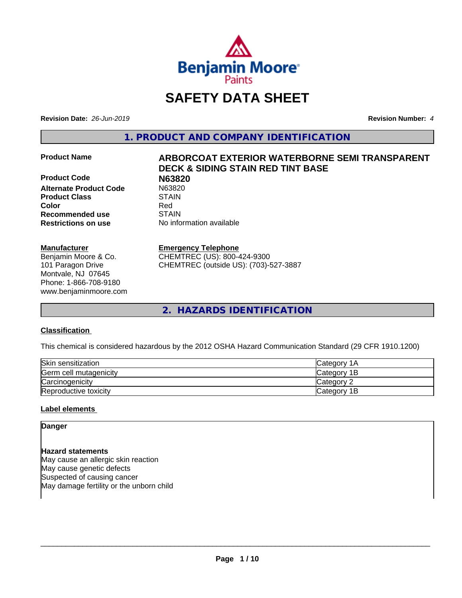

## **SAFETY DATA SHEET**

**Revision Date:** *26-Jun-2019* **Revision Number:** *4*

**1. PRODUCT AND COMPANY IDENTIFICATION**

**Product Code N63820 Alternate Product Code** N6382<br> **Product Class** STAIN **Product Class Color** Red **Recommended use STAIN Restrictions on use** No information available

#### **Manufacturer**

Benjamin Moore & Co. 101 Paragon Drive Montvale, NJ 07645 Phone: 1-866-708-9180 www.benjaminmoore.com

# **Product Name ARBORCOAT EXTERIOR WATERBORNE SEMI TRANSPARENT DECK & SIDING STAIN RED TINT BASE**

#### **Emergency Telephone**

CHEMTREC (US): 800-424-9300 CHEMTREC (outside US): (703)-527-3887

**2. HAZARDS IDENTIFICATION**

#### **Classification**

This chemical is considered hazardous by the 2012 OSHA Hazard Communication Standard (29 CFR 1910.1200)

| Skin sensitization     | ICategory 1A       |
|------------------------|--------------------|
| Germ cell mutagenicity | <b>Category 1B</b> |
| Carcinogenicity        | Category 2         |
| Reproductive toxicity  | Category 1B        |

#### **Label elements**

**Danger**

### **Hazard statements**

May cause an allergic skin reaction May cause genetic defects Suspected of causing cancer May damage fertility or the unborn child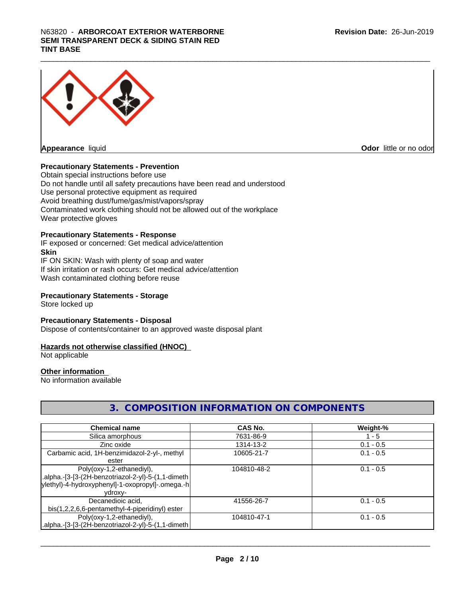

**Odor** little or no odor

#### **Precautionary Statements - Prevention**

Obtain special instructions before use Do not handle until all safety precautions have been read and understood Use personal protective equipment as required Avoid breathing dust/fume/gas/mist/vapors/spray Contaminated work clothing should not be allowed out of the workplace Wear protective gloves

#### **Precautionary Statements - Response**

IF exposed or concerned: Get medical advice/attention **Skin** IF ON SKIN: Wash with plenty of soap and water

If skin irritation or rash occurs: Get medical advice/attention Wash contaminated clothing before reuse

#### **Precautionary Statements - Storage**

Store locked up

#### **Precautionary Statements - Disposal**

Dispose of contents/container to an approved waste disposal plant

#### **Hazards not otherwise classified (HNOC)**

Not applicable

#### **Other information**

No information available

### **3. COMPOSITION INFORMATION ON COMPONENTS**

| <b>Chemical name</b>                                | CAS No.     | Weight-%    |
|-----------------------------------------------------|-------------|-------------|
| Silica amorphous                                    | 7631-86-9   | 1 - 5       |
| Zinc oxide                                          | 1314-13-2   | $0.1 - 0.5$ |
| Carbamic acid, 1H-benzimidazol-2-yl-, methyl        | 10605-21-7  | $0.1 - 0.5$ |
| ester                                               |             |             |
| Poly(oxy-1,2-ethanediyl),                           | 104810-48-2 | $0.1 - 0.5$ |
| .alpha.-[3-[3-(2H-benzotriazol-2-yl)-5-(1,1-dimeth. |             |             |
| ylethyl)-4-hydroxyphenyl]-1-oxopropyl]-.omega.-h    |             |             |
| vdroxv-                                             |             |             |
| Decanedioic acid,                                   | 41556-26-7  | $0.1 - 0.5$ |
| bis(1,2,2,6,6-pentamethyl-4-piperidinyl) ester      |             |             |
| Poly(oxy-1,2-ethanediyl),                           | 104810-47-1 | $0.1 - 0.5$ |
| alpha.-[3-[3-(2H-benzotriazol-2-yl)-5-(1,1-dimeth.  |             |             |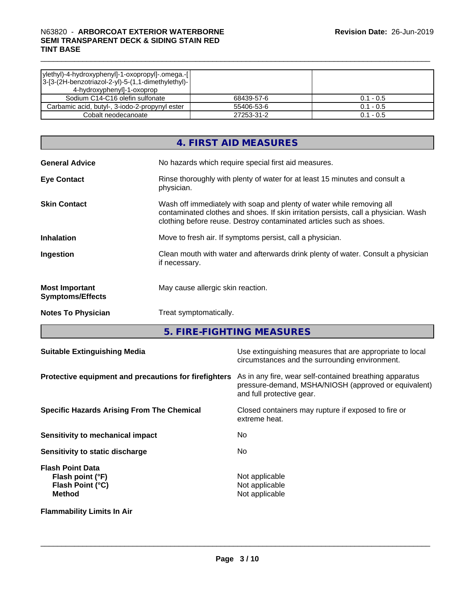| ylethyl)-4-hydroxyphenyl]-1-oxopropyl]-.omega.-[ <br>$ 3-[3-(2H\text{-}benzotriazol-2-yl)-5-(1,1\text{-}dimethylethyl)- $<br>4-hydroxyphenyl]-1-oxoprop |            |             |
|---------------------------------------------------------------------------------------------------------------------------------------------------------|------------|-------------|
| Sodium C14-C16 olefin sulfonate                                                                                                                         | 68439-57-6 | $0.1 - 0.5$ |
| Carbamic acid, butyl-, 3-iodo-2-propynyl ester                                                                                                          | 55406-53-6 | $0.1 - 0.5$ |
| Cobalt neodecanoate                                                                                                                                     | 27253-31-2 | $0.1 - 0.5$ |

|                                                  | 4. FIRST AID MEASURES                                                                                                                                                                                                               |
|--------------------------------------------------|-------------------------------------------------------------------------------------------------------------------------------------------------------------------------------------------------------------------------------------|
| <b>General Advice</b>                            | No hazards which require special first aid measures.                                                                                                                                                                                |
| <b>Eye Contact</b>                               | Rinse thoroughly with plenty of water for at least 15 minutes and consult a<br>physician.                                                                                                                                           |
| <b>Skin Contact</b>                              | Wash off immediately with soap and plenty of water while removing all<br>contaminated clothes and shoes. If skin irritation persists, call a physician. Wash<br>clothing before reuse. Destroy contaminated articles such as shoes. |
| <b>Inhalation</b>                                | Move to fresh air. If symptoms persist, call a physician.                                                                                                                                                                           |
| Ingestion                                        | Clean mouth with water and afterwards drink plenty of water. Consult a physician<br>if necessary.                                                                                                                                   |
| <b>Most Important</b><br><b>Symptoms/Effects</b> | May cause allergic skin reaction.                                                                                                                                                                                                   |
| <b>Notes To Physician</b>                        | Treat symptomatically.                                                                                                                                                                                                              |

**5. FIRE-FIGHTING MEASURES**

| <b>Suitable Extinguishing Media</b>                                              | Use extinguishing measures that are appropriate to local<br>circumstances and the surrounding environment.                                   |
|----------------------------------------------------------------------------------|----------------------------------------------------------------------------------------------------------------------------------------------|
| Protective equipment and precautions for firefighters                            | As in any fire, wear self-contained breathing apparatus<br>pressure-demand, MSHA/NIOSH (approved or equivalent)<br>and full protective gear. |
| <b>Specific Hazards Arising From The Chemical</b>                                | Closed containers may rupture if exposed to fire or<br>extreme heat.                                                                         |
| Sensitivity to mechanical impact                                                 | No.                                                                                                                                          |
| Sensitivity to static discharge                                                  | No.                                                                                                                                          |
| <b>Flash Point Data</b><br>Flash point (°F)<br>Flash Point (°C)<br><b>Method</b> | Not applicable<br>Not applicable<br>Not applicable                                                                                           |
| <b>Flammability Limits In Air</b>                                                |                                                                                                                                              |

**Page 3 / 10**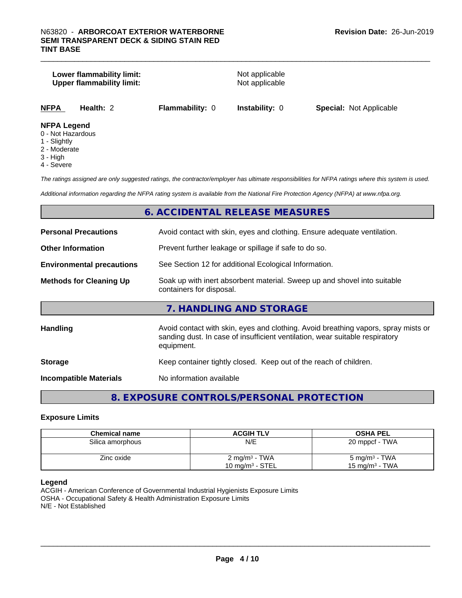#### **Lower flammability limit:**<br>
Upper flammability limit:<br>
Upper flammability limit:<br>
Not applicable **Upper flammability limit:**

| NFPA | <b>Health:</b> |  |
|------|----------------|--|
|      |                |  |

**NFPA Health:** 2 **Flammability:** 0 **Instability:** 0 **Special:** Not Applicable

#### **NFPA Legend**

- 0 Not Hazardous
- 1 Slightly
- 2 Moderate
- 3 High
- 4 Severe

*The ratings assigned are only suggested ratings, the contractor/employer has ultimate responsibilities for NFPA ratings where this system is used.*

*Additional information regarding the NFPA rating system is available from the National Fire Protection Agency (NFPA) at www.nfpa.org.*

#### **6. ACCIDENTAL RELEASE MEASURES**

| <b>Personal Precautions</b>      | Avoid contact with skin, eyes and clothing. Ensure adequate ventilation.                                                                                                         |
|----------------------------------|----------------------------------------------------------------------------------------------------------------------------------------------------------------------------------|
| <b>Other Information</b>         | Prevent further leakage or spillage if safe to do so.                                                                                                                            |
| <b>Environmental precautions</b> | See Section 12 for additional Ecological Information.                                                                                                                            |
| <b>Methods for Cleaning Up</b>   | Soak up with inert absorbent material. Sweep up and shovel into suitable<br>containers for disposal.                                                                             |
|                                  | 7. HANDLING AND STORAGE                                                                                                                                                          |
| <b>Handling</b>                  | Avoid contact with skin, eyes and clothing. Avoid breathing vapors, spray mists or<br>sanding dust. In case of insufficient ventilation, wear suitable respiratory<br>equipment. |
| <b>Storage</b>                   | Keep container tightly closed. Keep out of the reach of children.                                                                                                                |
| <b>Incompatible Materials</b>    | No information available                                                                                                                                                         |

#### **8. EXPOSURE CONTROLS/PERSONAL PROTECTION**

#### **Exposure Limits**

| <b>Chemical name</b> | <b>ACGIH TLV</b>                               | <b>OSHA PEL</b>                                |
|----------------------|------------------------------------------------|------------------------------------------------|
| Silica amorphous     | N/E                                            | 20 mppcf - TWA                                 |
| Zinc oxide           | $2 \text{ mg/m}^3$ - TWA<br>10 mg/m $3$ - STEL | 5 mg/m <sup>3</sup> - TWA<br>15 mg/m $3$ - TWA |

#### **Legend**

ACGIH - American Conference of Governmental Industrial Hygienists Exposure Limits OSHA - Occupational Safety & Health Administration Exposure Limits N/E - Not Established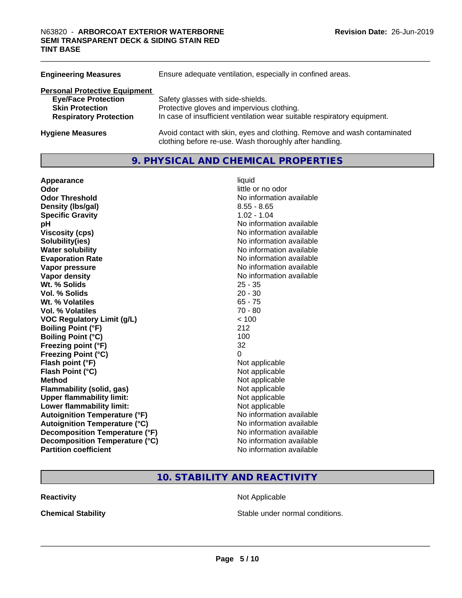| <b>Engineering Measures</b>          | Ensure adequate ventilation, especially in confined areas.                                                                          |  |
|--------------------------------------|-------------------------------------------------------------------------------------------------------------------------------------|--|
| <b>Personal Protective Equipment</b> |                                                                                                                                     |  |
| <b>Eye/Face Protection</b>           | Safety glasses with side-shields.                                                                                                   |  |
| <b>Skin Protection</b>               | Protective gloves and impervious clothing.                                                                                          |  |
| <b>Respiratory Protection</b>        | In case of insufficient ventilation wear suitable respiratory equipment.                                                            |  |
| <b>Hygiene Measures</b>              | Avoid contact with skin, eyes and clothing. Remove and wash contaminated<br>clothing before re-use. Wash thoroughly after handling. |  |

#### **9. PHYSICAL AND CHEMICAL PROPERTIES**

| Appearance                           | liquid                   |
|--------------------------------------|--------------------------|
| Odor                                 | little or no odor        |
| <b>Odor Threshold</b>                | No information available |
| Density (Ibs/gal)                    | $8.55 - 8.65$            |
| <b>Specific Gravity</b>              | $1.02 - 1.04$            |
| рH                                   | No information available |
| <b>Viscosity (cps)</b>               | No information available |
| Solubility(ies)                      | No information available |
| <b>Water solubility</b>              | No information available |
| <b>Evaporation Rate</b>              | No information available |
| Vapor pressure                       | No information available |
| Vapor density                        | No information available |
| Wt. % Solids                         | $25 - 35$                |
| Vol. % Solids                        | $20 - 30$                |
| Wt. % Volatiles                      | $65 - 75$                |
| <b>Vol. % Volatiles</b>              | $70 - 80$                |
| <b>VOC Regulatory Limit (g/L)</b>    | < 100                    |
| <b>Boiling Point (°F)</b>            | 212                      |
| <b>Boiling Point (°C)</b>            | 100                      |
| Freezing point (°F)                  | 32                       |
| <b>Freezing Point (°C)</b>           | 0                        |
| Flash point (°F)                     | Not applicable           |
| Flash Point (°C)                     | Not applicable           |
| <b>Method</b>                        | Not applicable           |
| Flammability (solid, gas)            | Not applicable           |
| <b>Upper flammability limit:</b>     | Not applicable           |
| Lower flammability limit:            | Not applicable           |
| <b>Autoignition Temperature (°F)</b> | No information available |
| <b>Autoignition Temperature (°C)</b> | No information available |
| Decomposition Temperature (°F)       | No information available |
| Decomposition Temperature (°C)       | No information available |
| <b>Partition coefficient</b>         | No information available |

### **10. STABILITY AND REACTIVITY**

**Reactivity Not Applicable Not Applicable** 

**Chemical Stability Chemical Stability** Stable under normal conditions.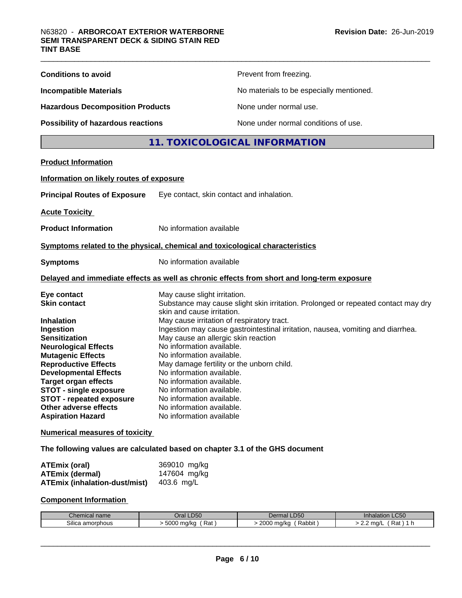| <b>Conditions to avoid</b>                                                                                                                                                                                                                                                                                                               | Prevent from freezing.                                                                                                                                                                                                                                                                                                                                                                                                                                   |
|------------------------------------------------------------------------------------------------------------------------------------------------------------------------------------------------------------------------------------------------------------------------------------------------------------------------------------------|----------------------------------------------------------------------------------------------------------------------------------------------------------------------------------------------------------------------------------------------------------------------------------------------------------------------------------------------------------------------------------------------------------------------------------------------------------|
| <b>Incompatible Materials</b>                                                                                                                                                                                                                                                                                                            | No materials to be especially mentioned.                                                                                                                                                                                                                                                                                                                                                                                                                 |
| <b>Hazardous Decomposition Products</b>                                                                                                                                                                                                                                                                                                  | None under normal use.                                                                                                                                                                                                                                                                                                                                                                                                                                   |
| <b>Possibility of hazardous reactions</b>                                                                                                                                                                                                                                                                                                | None under normal conditions of use.                                                                                                                                                                                                                                                                                                                                                                                                                     |
|                                                                                                                                                                                                                                                                                                                                          | 11. TOXICOLOGICAL INFORMATION                                                                                                                                                                                                                                                                                                                                                                                                                            |
| <b>Product Information</b>                                                                                                                                                                                                                                                                                                               |                                                                                                                                                                                                                                                                                                                                                                                                                                                          |
| Information on likely routes of exposure                                                                                                                                                                                                                                                                                                 |                                                                                                                                                                                                                                                                                                                                                                                                                                                          |
| <b>Principal Routes of Exposure</b>                                                                                                                                                                                                                                                                                                      | Eye contact, skin contact and inhalation.                                                                                                                                                                                                                                                                                                                                                                                                                |
| <b>Acute Toxicity</b>                                                                                                                                                                                                                                                                                                                    |                                                                                                                                                                                                                                                                                                                                                                                                                                                          |
| <b>Product Information</b>                                                                                                                                                                                                                                                                                                               | No information available                                                                                                                                                                                                                                                                                                                                                                                                                                 |
|                                                                                                                                                                                                                                                                                                                                          | Symptoms related to the physical, chemical and toxicological characteristics                                                                                                                                                                                                                                                                                                                                                                             |
| <b>Symptoms</b>                                                                                                                                                                                                                                                                                                                          | No information available                                                                                                                                                                                                                                                                                                                                                                                                                                 |
|                                                                                                                                                                                                                                                                                                                                          | Delayed and immediate effects as well as chronic effects from short and long-term exposure                                                                                                                                                                                                                                                                                                                                                               |
| Eye contact<br><b>Skin contact</b>                                                                                                                                                                                                                                                                                                       | May cause slight irritation.<br>Substance may cause slight skin irritation. Prolonged or repeated contact may dry<br>skin and cause irritation.                                                                                                                                                                                                                                                                                                          |
| <b>Inhalation</b><br>Ingestion<br><b>Sensitization</b><br><b>Neurological Effects</b><br><b>Mutagenic Effects</b><br><b>Reproductive Effects</b><br><b>Developmental Effects</b><br><b>Target organ effects</b><br><b>STOT - single exposure</b><br><b>STOT - repeated exposure</b><br>Other adverse effects<br><b>Aspiration Hazard</b> | May cause irritation of respiratory tract.<br>Ingestion may cause gastrointestinal irritation, nausea, vomiting and diarrhea.<br>May cause an allergic skin reaction<br>No information available.<br>No information available.<br>May damage fertility or the unborn child.<br>No information available.<br>No information available.<br>No information available.<br>No information available.<br>No information available.<br>No information available |
| <b>Numerical measures of toxicity</b>                                                                                                                                                                                                                                                                                                    |                                                                                                                                                                                                                                                                                                                                                                                                                                                          |
| <b>ATEmix (oral)</b>                                                                                                                                                                                                                                                                                                                     | The following values are calculated based on chapter 3.1 of the GHS document<br>369010 mg/kg                                                                                                                                                                                                                                                                                                                                                             |

| ATEmix (oral)                 | 369010 mg/kg |
|-------------------------------|--------------|
| <b>ATEmix (dermal)</b>        | 147604 mg/kg |
| ATEmix (inhalation-dust/mist) | 403.6 mg/L   |

#### **Component Information**

| name                                   | LD50                                                                | <b>D50</b>                                  | $\sim$ $\sim$ $\sim$ |
|----------------------------------------|---------------------------------------------------------------------|---------------------------------------------|----------------------|
| memical.                               |                                                                     | $\sqrt{ }$                                  | alation              |
|                                        |                                                                     | чы.                                         | ⊩∟∪∪                 |
| $\sim \cdots$<br>a amorphous<br>silica | ENNA<br>ma/ka<br><b>D</b> ot<br>' THU/KG<br>rai.<br>w<br>,,,<br>. . | 2000<br>) ma/ka<br>. Pahh .<br>ναυυπ<br>. . | ma/<br>Rat           |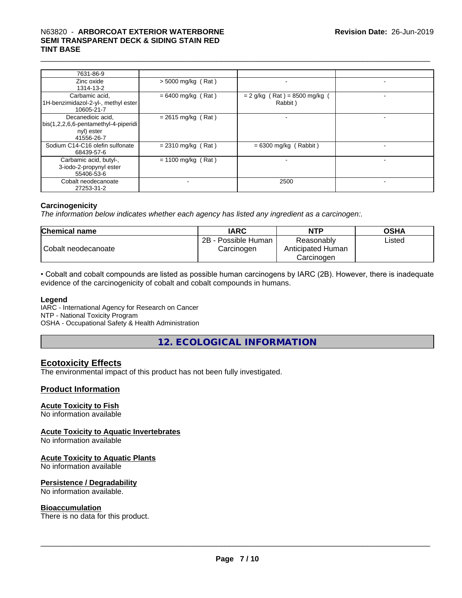| 7631-86-9                                                                             |                      |                                          |  |
|---------------------------------------------------------------------------------------|----------------------|------------------------------------------|--|
| Zinc oxide<br>1314-13-2                                                               | > 5000 mg/kg (Rat)   |                                          |  |
| Carbamic acid,<br>1H-benzimidazol-2-yl-, methyl ester<br>10605-21-7                   | $= 6400$ mg/kg (Rat) | $= 2$ g/kg (Rat) = 8500 mg/kg<br>Rabbit) |  |
| Decanedioic acid,<br>bis(1,2,2,6,6-pentamethyl-4-piperidi<br>nyl) ester<br>41556-26-7 | $= 2615$ mg/kg (Rat) |                                          |  |
| Sodium C14-C16 olefin sulfonate<br>68439-57-6                                         | $= 2310$ mg/kg (Rat) | $= 6300$ mg/kg (Rabbit)                  |  |
| Carbamic acid, butyl-,<br>3-iodo-2-propynyl ester<br>55406-53-6                       | $= 1100$ mg/kg (Rat) |                                          |  |
| Cobalt neodecanoate<br>27253-31-2                                                     |                      | 2500                                     |  |

#### **Carcinogenicity**

*The information below indicateswhether each agency has listed any ingredient as a carcinogen:.*

| <b>Chemical name</b> | <b>IARC</b>                            | <b>NTP</b>                      | <b>OSHA</b> |
|----------------------|----------------------------------------|---------------------------------|-------------|
| Cobalt neodecanoate  | 2B -<br>- Possible Human<br>Carcinogen | Reasonably<br>Anticipated Human | Listed      |
|                      |                                        | Carcinogen                      |             |

• Cobalt and cobalt compounds are listed as possible human carcinogens by IARC (2B). However, there is inadequate evidence of the carcinogenicity of cobalt and cobalt compounds in humans.

#### **Legend**

IARC - International Agency for Research on Cancer NTP - National Toxicity Program OSHA - Occupational Safety & Health Administration

**12. ECOLOGICAL INFORMATION**

#### **Ecotoxicity Effects**

The environmental impact of this product has not been fully investigated.

#### **Product Information**

#### **Acute Toxicity to Fish**

No information available

#### **Acute Toxicity to Aquatic Invertebrates**

No information available

#### **Acute Toxicity to Aquatic Plants**

No information available

#### **Persistence / Degradability**

No information available.

#### **Bioaccumulation**

There is no data for this product.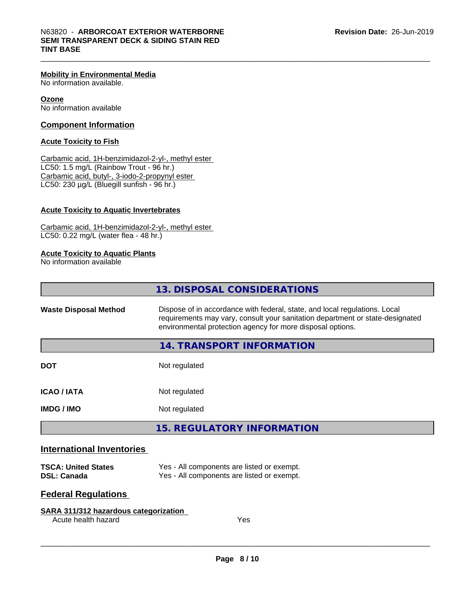#### **Mobility in Environmental Media**

No information available.

**Ozone** No information available

#### **Component Information**

#### **Acute Toxicity to Fish**

Carbamic acid, 1H-benzimidazol-2-yl-, methyl ester LC50: 1.5 mg/L (Rainbow Trout - 96 hr.) Carbamic acid, butyl-, 3-iodo-2-propynyl ester LC50: 230 µg/L (Bluegill sunfish - 96 hr.)

#### **Acute Toxicity to Aquatic Invertebrates**

Carbamic acid, 1H-benzimidazol-2-yl-, methyl ester LC50: 0.22 mg/L (water flea - 48 hr.)

#### **Acute Toxicity to Aquatic Plants**

No information available

|                                  | 13. DISPOSAL CONSIDERATIONS                                                                                                                                                                                               |
|----------------------------------|---------------------------------------------------------------------------------------------------------------------------------------------------------------------------------------------------------------------------|
| <b>Waste Disposal Method</b>     | Dispose of in accordance with federal, state, and local regulations. Local<br>requirements may vary, consult your sanitation department or state-designated<br>environmental protection agency for more disposal options. |
|                                  | 14. TRANSPORT INFORMATION                                                                                                                                                                                                 |
| <b>DOT</b>                       | Not regulated                                                                                                                                                                                                             |
| <b>ICAO / IATA</b>               | Not regulated                                                                                                                                                                                                             |
| <b>IMDG/IMO</b>                  | Not regulated                                                                                                                                                                                                             |
|                                  | <b>15. REGULATORY INFORMATION</b>                                                                                                                                                                                         |
| <b>International Inventories</b> |                                                                                                                                                                                                                           |
| <b>TSCA: United States</b>       | Yes - All components are listed or exempt.                                                                                                                                                                                |

| TSCA: United States | res - All components are ilsted or exempt. |
|---------------------|--------------------------------------------|
| DSL: Canada         | Yes - All components are listed or exempt. |

#### **Federal Regulations**

#### **SARA 311/312 hazardous categorization**

Acute health hazard Yes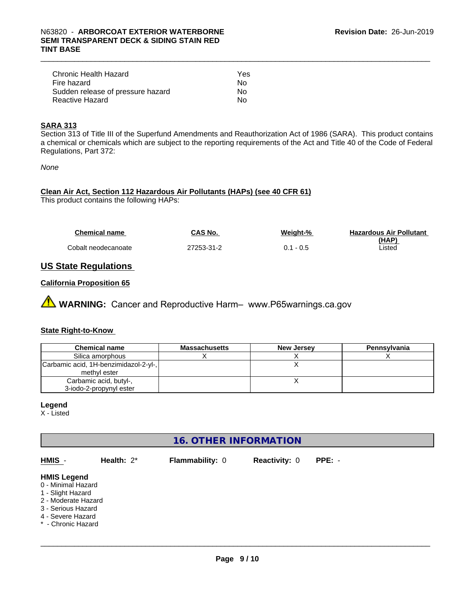| Chronic Health Hazard             | Yes |
|-----------------------------------|-----|
| Fire hazard                       | N٥  |
| Sudden release of pressure hazard | Nο  |
| Reactive Hazard                   | N٥  |

#### **SARA 313**

Section 313 of Title III of the Superfund Amendments and Reauthorization Act of 1986 (SARA). This product contains a chemical or chemicals which are subject to the reporting requirements of the Act and Title 40 of the Code of Federal Regulations, Part 372:

*None*

### **Clean Air Act,Section 112 Hazardous Air Pollutants (HAPs) (see 40 CFR 61)**

This product contains the following HAPs:

| <b>Chemical name</b> | <b>CAS No.</b> | Weight-%    | <b>Hazardous Air Pollutant</b> |
|----------------------|----------------|-------------|--------------------------------|
|                      |                |             | (HAP)                          |
| Cobalt neodecanoate  | 27253-31-2     | $0.1 - 0.5$ | Listed                         |

#### **US State Regulations**

#### **California Proposition 65**

**A** WARNING: Cancer and Reproductive Harm– www.P65warnings.ca.gov

#### **State Right-to-Know**

| <b>Chemical name</b>                  | <b>Massachusetts</b> | <b>New Jersey</b> | Pennsylvania |
|---------------------------------------|----------------------|-------------------|--------------|
| Silica amorphous                      |                      |                   |              |
| Carbamic acid, 1H-benzimidazol-2-yl-, |                      |                   |              |
| methyl ester                          |                      |                   |              |
| Carbamic acid, butyl-,                |                      |                   |              |
| 3-iodo-2-propynyl ester               |                      |                   |              |

#### **Legend**

X - Listed

### **16. OTHER INFORMATION**

| HMIS -                                                                                                                                                | Health: $2^*$ | <b>Flammability: 0</b> | <b>Reactivity: 0</b> | $PPE: -$ |  |
|-------------------------------------------------------------------------------------------------------------------------------------------------------|---------------|------------------------|----------------------|----------|--|
| <b>HMIS Legend</b><br>0 - Minimal Hazard<br>1 - Slight Hazard<br>2 - Moderate Hazard<br>3 - Serious Hazard<br>4 - Severe Hazard<br>* - Chronic Hazard |               |                        |                      |          |  |